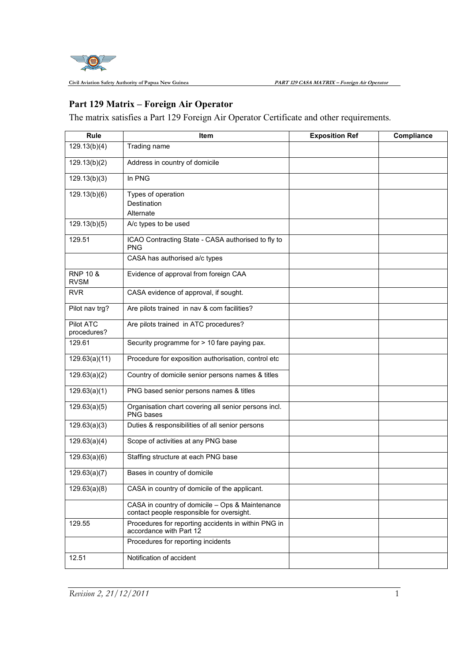

**Civil Aviation Safety Authority of Papua New Guinea** 

## **Part 129 Matrix – Foreign Air Operator Operator**

The matrix satisfies a Part 129 Foreign Air Operator Certificate and other requirements.

| Rule                               | Item                                                                                         | <b>Exposition Ref</b> | Compliance |
|------------------------------------|----------------------------------------------------------------------------------------------|-----------------------|------------|
| 129.13(b)(4)                       | Trading name                                                                                 |                       |            |
| 129.13(b)(2)                       | Address in country of domicile                                                               |                       |            |
| 129.13(b)(3)                       | In PNG                                                                                       |                       |            |
| 129.13(b)(6)                       | Types of operation                                                                           |                       |            |
|                                    | Destination                                                                                  |                       |            |
|                                    | Alternate                                                                                    |                       |            |
| 129.13(b)(5)                       | A/c types to be used                                                                         |                       |            |
| 129.51                             | ICAO Contracting State - CASA authorised to fly to<br><b>PNG</b>                             |                       |            |
|                                    | CASA has authorised a/c types                                                                |                       |            |
| <b>RNP 10 &amp;</b><br><b>RVSM</b> | Evidence of approval from foreign CAA                                                        |                       |            |
| <b>RVR</b>                         | CASA evidence of approval, if sought.                                                        |                       |            |
| Pilot nav trg?                     | Are pilots trained in nav & com facilities?                                                  |                       |            |
| Pilot ATC<br>procedures?           | Are pilots trained in ATC procedures?                                                        |                       |            |
| 129.61                             | Security programme for > 10 fare paying pax.                                                 |                       |            |
| 129.63(a)(11)                      | Procedure for exposition authorisation, control etc                                          |                       |            |
| 129.63(a)(2)                       | Country of domicile senior persons names & titles                                            |                       |            |
| 129.63(a)(1)                       | PNG based senior persons names & titles                                                      |                       |            |
| 129.63(a)(5)                       | Organisation chart covering all senior persons incl.<br>PNG bases                            |                       |            |
| 129.63(a)(3)                       | Duties & responsibilities of all senior persons                                              |                       |            |
| 129.63(a)(4)                       | Scope of activities at any PNG base                                                          |                       |            |
| 129.63(a)(6)                       | Staffing structure at each PNG base                                                          |                       |            |
| 129.63(a)(7)                       | Bases in country of domicile                                                                 |                       |            |
| 129.63(a)(8)                       | CASA in country of domicile of the applicant.                                                |                       |            |
|                                    | CASA in country of domicile - Ops & Maintenance<br>contact people responsible for oversight. |                       |            |
| 129.55                             | Procedures for reporting accidents in within PNG in<br>accordance with Part 12               |                       |            |
|                                    | Procedures for reporting incidents                                                           |                       |            |
| 12.51                              | Notification of accident                                                                     |                       |            |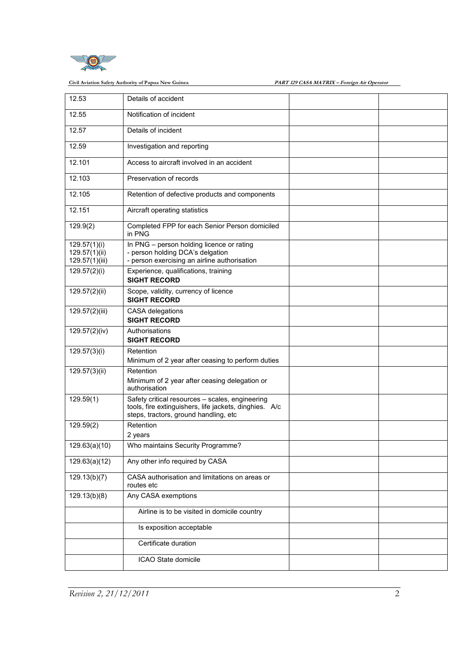

## Civil Aviation Safety Authority of Papua New Guinea **Bank 129 CASA MATRIX - Foreign Air Operator**

| 12.53                                           | Details of accident                                                                                                                                |  |
|-------------------------------------------------|----------------------------------------------------------------------------------------------------------------------------------------------------|--|
| 12.55                                           | Notification of incident                                                                                                                           |  |
| 12.57                                           | Details of incident                                                                                                                                |  |
| 12.59                                           | Investigation and reporting                                                                                                                        |  |
| 12.101                                          | Access to aircraft involved in an accident                                                                                                         |  |
| 12.103                                          | Preservation of records                                                                                                                            |  |
| 12.105                                          | Retention of defective products and components                                                                                                     |  |
| 12.151                                          | Aircraft operating statistics                                                                                                                      |  |
| 129.9(2)                                        | Completed FPP for each Senior Person domiciled<br>in PNG                                                                                           |  |
| 129.57(1)(i)<br>129.57(1)(ii)<br>129.57(1)(iii) | In PNG - person holding licence or rating<br>- person holding DCA's delgation<br>- person exercising an airline authorisation                      |  |
| 129.57(2)(i)                                    | Experience, qualifications, training<br><b>SIGHT RECORD</b>                                                                                        |  |
| 129.57(2)(ii)                                   | Scope, validity, currency of licence<br><b>SIGHT RECORD</b>                                                                                        |  |
| 129.57(2)(iii)                                  | CASA delegations<br><b>SIGHT RECORD</b>                                                                                                            |  |
| 129.57(2)(iv)                                   | Authorisations<br><b>SIGHT RECORD</b>                                                                                                              |  |
| 129.57(3)(i)                                    | Retention<br>Minimum of 2 year after ceasing to perform duties                                                                                     |  |
| 129.57(3)(ii)                                   | Retention<br>Minimum of 2 year after ceasing delegation or<br>authorisation                                                                        |  |
| 129.59(1)                                       | Safety critical resources - scales, engineering<br>tools, fire extinguishers, life jackets, dinghies. A/c<br>steps, tractors, ground handling, etc |  |
| 129.59(2)                                       | Retention<br>2 years                                                                                                                               |  |
| 129.63(a)(10)                                   | Who maintains Security Programme?                                                                                                                  |  |
| 129.63(a)(12)                                   | Any other info required by CASA                                                                                                                    |  |
| 129.13(b)(7)                                    | CASA authorisation and limitations on areas or<br>routes etc                                                                                       |  |
| 129.13(b)(8)                                    | Any CASA exemptions                                                                                                                                |  |
|                                                 | Airline is to be visited in domicile country                                                                                                       |  |
|                                                 | Is exposition acceptable                                                                                                                           |  |
|                                                 | Certificate duration                                                                                                                               |  |
|                                                 | ICAO State domicile                                                                                                                                |  |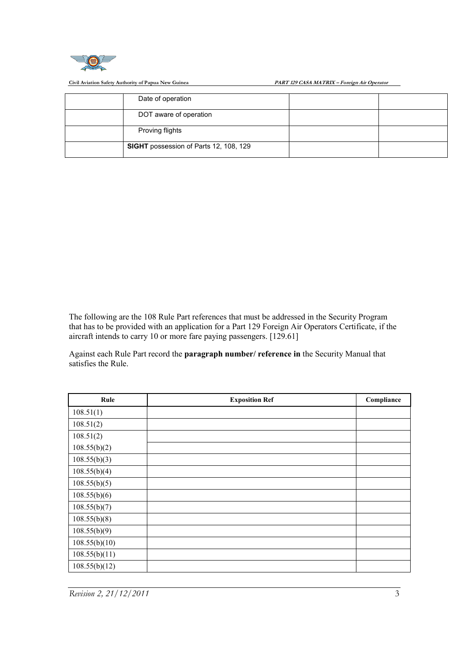

Civil Aviation Safety Authority of Papua New Guinea **PART 129 CASA MATRIX** 

PART 129 CASA MATRIX - Foreign Air Operator

| Date of operation                             |  |
|-----------------------------------------------|--|
| DOT aware of operation                        |  |
| Proving flights                               |  |
| <b>SIGHT</b> possession of Parts 12, 108, 129 |  |

The following are the 108 Rule Part references that must be addressed in the Security Program that has to be provided with an application for a Part 129 Foreign Air Operators Certificate, if the aircraft intends to carry 10 or more fare paying passengers. [129.61] Exercise Part references that must be addressed in the Security Program application for a Part 129 Foreign Air Operators Certificate, if the more fare paying passengers. [129.61]<br>the **paragraph number/ reference in** the Se

Against each Rule Part record the paragraph number/ reference in the Security Manual that satisfies the Rule.

| Rule          | <b>Exposition Ref</b> | Compliance |
|---------------|-----------------------|------------|
| 108.51(1)     |                       |            |
| 108.51(2)     |                       |            |
| 108.51(2)     |                       |            |
| 108.55(b)(2)  |                       |            |
| 108.55(b)(3)  |                       |            |
| 108.55(b)(4)  |                       |            |
| 108.55(b)(5)  |                       |            |
| 108.55(b)(6)  |                       |            |
| 108.55(b)(7)  |                       |            |
| 108.55(b)(8)  |                       |            |
| 108.55(b)(9)  |                       |            |
| 108.55(b)(10) |                       |            |
| 108.55(b)(11) |                       |            |
| 108.55(b)(12) |                       |            |